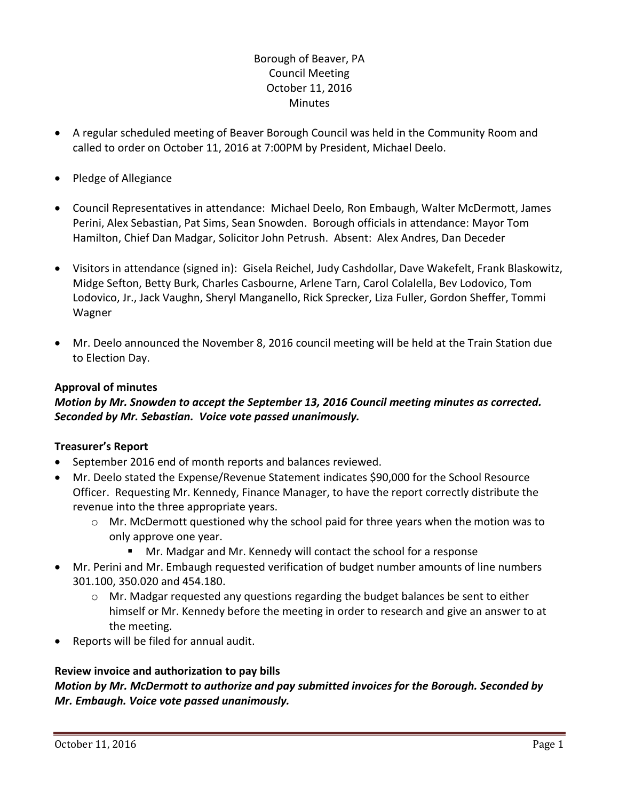# Borough of Beaver, PA Council Meeting October 11, 2016 **Minutes**

- A regular scheduled meeting of Beaver Borough Council was held in the Community Room and called to order on October 11, 2016 at 7:00PM by President, Michael Deelo.
- Pledge of Allegiance
- Council Representatives in attendance: Michael Deelo, Ron Embaugh, Walter McDermott, James Perini, Alex Sebastian, Pat Sims, Sean Snowden. Borough officials in attendance: Mayor Tom Hamilton, Chief Dan Madgar, Solicitor John Petrush. Absent: Alex Andres, Dan Deceder
- Visitors in attendance (signed in): Gisela Reichel, Judy Cashdollar, Dave Wakefelt, Frank Blaskowitz, Midge Sefton, Betty Burk, Charles Casbourne, Arlene Tarn, Carol Colalella, Bev Lodovico, Tom Lodovico, Jr., Jack Vaughn, Sheryl Manganello, Rick Sprecker, Liza Fuller, Gordon Sheffer, Tommi Wagner
- Mr. Deelo announced the November 8, 2016 council meeting will be held at the Train Station due to Election Day.

## **Approval of minutes**

# *Motion by Mr. Snowden to accept the September 13, 2016 Council meeting minutes as corrected. Seconded by Mr. Sebastian. Voice vote passed unanimously.*

## **Treasurer's Report**

- September 2016 end of month reports and balances reviewed.
- Mr. Deelo stated the Expense/Revenue Statement indicates \$90,000 for the School Resource Officer. Requesting Mr. Kennedy, Finance Manager, to have the report correctly distribute the revenue into the three appropriate years.
	- o Mr. McDermott questioned why the school paid for three years when the motion was to only approve one year.
		- Mr. Madgar and Mr. Kennedy will contact the school for a response
- Mr. Perini and Mr. Embaugh requested verification of budget number amounts of line numbers 301.100, 350.020 and 454.180.
	- $\circ$  Mr. Madgar requested any questions regarding the budget balances be sent to either himself or Mr. Kennedy before the meeting in order to research and give an answer to at the meeting.
- Reports will be filed for annual audit.

## **Review invoice and authorization to pay bills**

*Motion by Mr. McDermott to authorize and pay submitted invoices for the Borough. Seconded by Mr. Embaugh. Voice vote passed unanimously.*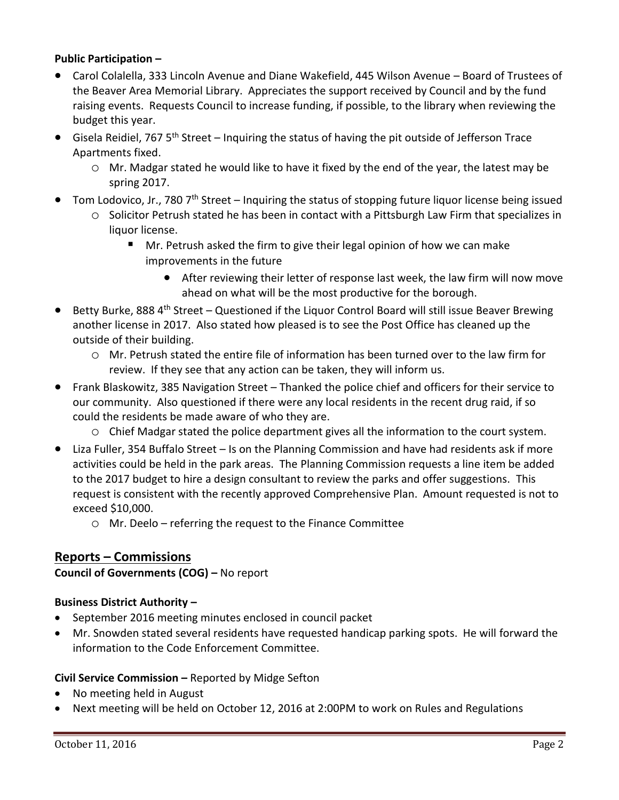### **Public Participation –**

- Carol Colalella, 333 Lincoln Avenue and Diane Wakefield, 445 Wilson Avenue Board of Trustees of the Beaver Area Memorial Library. Appreciates the support received by Council and by the fund raising events. Requests Council to increase funding, if possible, to the library when reviewing the budget this year.
- Gisela Reidiel, 767 5<sup>th</sup> Street Inquiring the status of having the pit outside of Jefferson Trace Apartments fixed.
	- $\circ$  Mr. Madgar stated he would like to have it fixed by the end of the year, the latest may be spring 2017.
- Tom Lodovico, Jr., 780 7<sup>th</sup> Street Inquiring the status of stopping future liquor license being issued
	- o Solicitor Petrush stated he has been in contact with a Pittsburgh Law Firm that specializes in liquor license.
		- Mr. Petrush asked the firm to give their legal opinion of how we can make improvements in the future
			- After reviewing their letter of response last week, the law firm will now move ahead on what will be the most productive for the borough.
- **•** Betty Burke, 888 4<sup>th</sup> Street Questioned if the Liquor Control Board will still issue Beaver Brewing another license in 2017. Also stated how pleased is to see the Post Office has cleaned up the outside of their building.
	- o Mr. Petrush stated the entire file of information has been turned over to the law firm for review. If they see that any action can be taken, they will inform us.
- Frank Blaskowitz, 385 Navigation Street Thanked the police chief and officers for their service to our community. Also questioned if there were any local residents in the recent drug raid, if so could the residents be made aware of who they are.
	- o Chief Madgar stated the police department gives all the information to the court system.
- Liza Fuller, 354 Buffalo Street Is on the Planning Commission and have had residents ask if more activities could be held in the park areas. The Planning Commission requests a line item be added to the 2017 budget to hire a design consultant to review the parks and offer suggestions. This request is consistent with the recently approved Comprehensive Plan. Amount requested is not to exceed \$10,000.
	- o Mr. Deelo referring the request to the Finance Committee

# **Reports – Commissions**

**Council of Governments (COG) –** No report

## **Business District Authority –**

- September 2016 meeting minutes enclosed in council packet
- Mr. Snowden stated several residents have requested handicap parking spots. He will forward the information to the Code Enforcement Committee.

## **Civil Service Commission –** Reported by Midge Sefton

- No meeting held in August
- Next meeting will be held on October 12, 2016 at 2:00PM to work on Rules and Regulations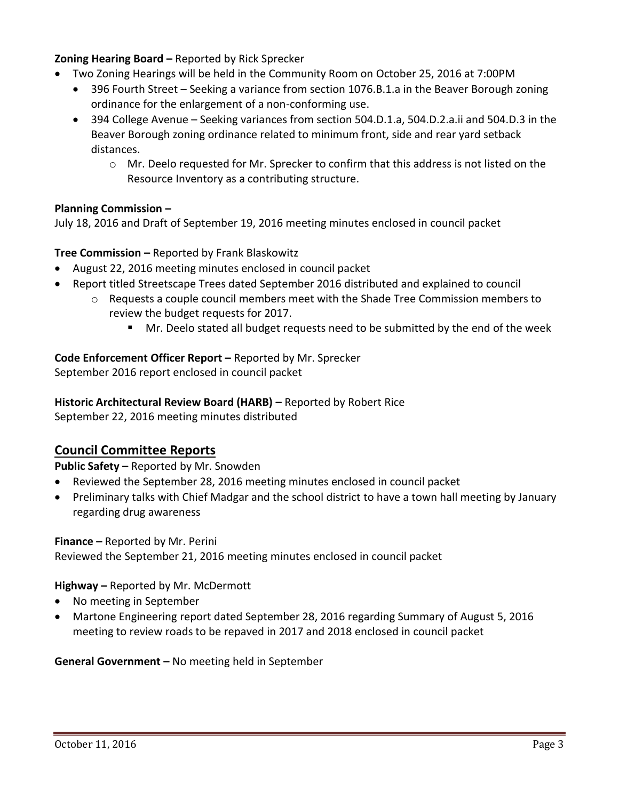## **Zoning Hearing Board –** Reported by Rick Sprecker

- Two Zoning Hearings will be held in the Community Room on October 25, 2016 at 7:00PM
	- 396 Fourth Street Seeking a variance from section 1076.B.1.a in the Beaver Borough zoning ordinance for the enlargement of a non-conforming use.
	- 394 College Avenue Seeking variances from section 504.D.1.a, 504.D.2.a.ii and 504.D.3 in the Beaver Borough zoning ordinance related to minimum front, side and rear yard setback distances.
		- $\circ$  Mr. Deelo requested for Mr. Sprecker to confirm that this address is not listed on the Resource Inventory as a contributing structure.

### **Planning Commission –**

July 18, 2016 and Draft of September 19, 2016 meeting minutes enclosed in council packet

### **Tree Commission –** Reported by Frank Blaskowitz

- August 22, 2016 meeting minutes enclosed in council packet
- Report titled Streetscape Trees dated September 2016 distributed and explained to council
	- $\circ$  Requests a couple council members meet with the Shade Tree Commission members to review the budget requests for 2017.
		- Mr. Deelo stated all budget requests need to be submitted by the end of the week

### **Code Enforcement Officer Report –** Reported by Mr. Sprecker

September 2016 report enclosed in council packet

### **Historic Architectural Review Board (HARB) –** Reported by Robert Rice

September 22, 2016 meeting minutes distributed

# **Council Committee Reports**

**Public Safety –** Reported by Mr. Snowden

- Reviewed the September 28, 2016 meeting minutes enclosed in council packet
- Preliminary talks with Chief Madgar and the school district to have a town hall meeting by January regarding drug awareness

### **Finance –** Reported by Mr. Perini

Reviewed the September 21, 2016 meeting minutes enclosed in council packet

### **Highway –** Reported by Mr. McDermott

- No meeting in September
- Martone Engineering report dated September 28, 2016 regarding Summary of August 5, 2016 meeting to review roads to be repaved in 2017 and 2018 enclosed in council packet

**General Government –** No meeting held in September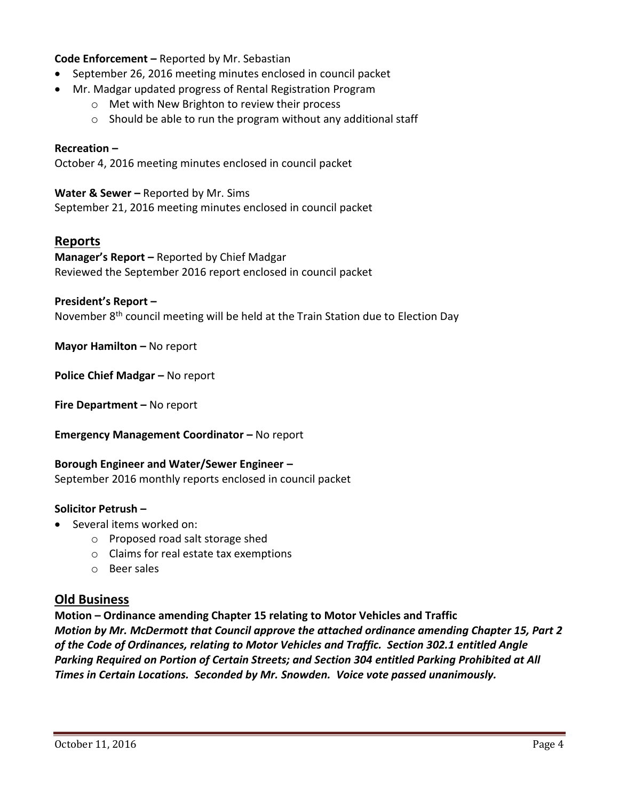## **Code Enforcement –** Reported by Mr. Sebastian

- September 26, 2016 meeting minutes enclosed in council packet
- Mr. Madgar updated progress of Rental Registration Program
	- o Met with New Brighton to review their process
	- $\circ$  Should be able to run the program without any additional staff

#### **Recreation –**

October 4, 2016 meeting minutes enclosed in council packet

#### **Water & Sewer –** Reported by Mr. Sims

September 21, 2016 meeting minutes enclosed in council packet

### **Reports**

**Manager's Report –** Reported by Chief Madgar Reviewed the September 2016 report enclosed in council packet

#### **President's Report –**

November 8<sup>th</sup> council meeting will be held at the Train Station due to Election Day

**Mayor Hamilton – No report** 

**Police Chief Madgar –** No report

**Fire Department –** No report

**Emergency Management Coordinator - No report** 

#### **Borough Engineer and Water/Sewer Engineer –** September 2016 monthly reports enclosed in council packet

#### **Solicitor Petrush –**

- Several items worked on:
	- o Proposed road salt storage shed
	- o Claims for real estate tax exemptions
	- o Beer sales

### **Old Business**

**Motion – Ordinance amending Chapter 15 relating to Motor Vehicles and Traffic** *Motion by Mr. McDermott that Council approve the attached ordinance amending Chapter 15, Part 2 of the Code of Ordinances, relating to Motor Vehicles and Traffic. Section 302.1 entitled Angle Parking Required on Portion of Certain Streets; and Section 304 entitled Parking Prohibited at All Times in Certain Locations. Seconded by Mr. Snowden. Voice vote passed unanimously.*